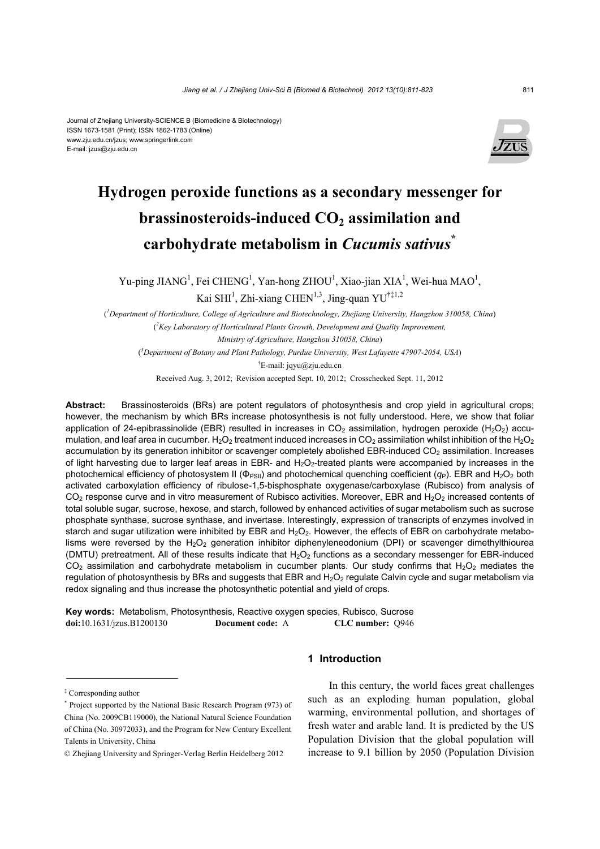#### Journal of Zhejiang University-SCIENCE B (Biomedicine & Biotechnology) ISSN 1673-1581 (Print); ISSN 1862-1783 (Online) www.zju.edu.cn/jzus; www.springerlink.com E-mail: jzus@zju.edu.cn



# **Hydrogen peroxide functions as a secondary messenger for**  brassinosteroids-induced CO<sub>2</sub> assimilation and **carbohydrate metabolism in** *Cucumis sativus***\***

Yu-ping JIANG<sup>1</sup>, Fei CHENG<sup>1</sup>, Yan-hong ZHOU<sup>1</sup>, Xiao-jian XIA<sup>1</sup>, Wei-hua MAO<sup>1</sup>, Kai SHI<sup>1</sup>, Zhi-xiang CHEN<sup>1,3</sup>, Jing-quan YU<sup>†‡1,2</sup>

( *1 Department of Horticulture, College of Agriculture and Biotechnology, Zhejiang University, Hangzhou 310058, China*) ( *2 Key Laboratory of Horticultural Plants Growth, Development and Quality Improvement, Ministry of Agriculture, Hangzhou 310058, China*) ( *3 Department of Botany and Plant Pathology, Purdue University, West Lafayette 47907-2054, USA*)

 $E$ -mail: jqyu@zju.edu.cn

Received Aug. 3, 2012; Revision accepted Sept. 10, 2012; Crosschecked Sept. 11, 2012

**Abstract:** Brassinosteroids (BRs) are potent regulators of photosynthesis and crop yield in agricultural crops; however, the mechanism by which BRs increase photosynthesis is not fully understood. Here, we show that foliar application of 24-epibrassinolide (EBR) resulted in increases in  $CO<sub>2</sub>$  assimilation, hydrogen peroxide (H<sub>2</sub>O<sub>2</sub>) accumulation, and leaf area in cucumber. H<sub>2</sub>O<sub>2</sub> treatment induced increases in CO<sub>2</sub> assimilation whilst inhibition of the H<sub>2</sub>O<sub>2</sub> accumulation by its generation inhibitor or scavenger completely abolished EBR-induced CO<sub>2</sub> assimilation. Increases of light harvesting due to larger leaf areas in EBR- and  $H_2O_2$ -treated plants were accompanied by increases in the photochemical efficiency of photosystem II (Φ<sub>PSII</sub>) and photochemical quenching coefficient (*q*<sub>P</sub>). EBR and H<sub>2</sub>O<sub>2</sub> both activated carboxylation efficiency of ribulose-1,5-bisphosphate oxygenase/carboxylase (Rubisco) from analysis of  $CO<sub>2</sub>$  response curve and in vitro measurement of Rubisco activities. Moreover, EBR and H<sub>2</sub>O<sub>2</sub> increased contents of total soluble sugar, sucrose, hexose, and starch, followed by enhanced activities of sugar metabolism such as sucrose phosphate synthase, sucrose synthase, and invertase. Interestingly, expression of transcripts of enzymes involved in starch and sugar utilization were inhibited by EBR and  $H_2O_2$ . However, the effects of EBR on carbohydrate metabolisms were reversed by the  $H_2O_2$  generation inhibitor diphenyleneodonium (DPI) or scavenger dimethylthiourea (DMTU) pretreatment. All of these results indicate that  $H_2O_2$  functions as a secondary messenger for EBR-induced  $CO<sub>2</sub>$  assimilation and carbohydrate metabolism in cucumber plants. Our study confirms that H<sub>2</sub>O<sub>2</sub> mediates the regulation of photosynthesis by BRs and suggests that EBR and  $H_2O_2$  regulate Calvin cycle and sugar metabolism via redox signaling and thus increase the photosynthetic potential and yield of crops.

**Key words:** Metabolism, Photosynthesis, Reactive oxygen species, Rubisco, Sucrose **doi:**10.1631/jzus.B1200130 **Document code:** A **CLC number:** Q946

## **1 Introduction**

In this century, the world faces great challenges such as an exploding human population, global warming, environmental pollution, and shortages of fresh water and arable land. It is predicted by the US Population Division that the global population will increase to 9.1 billion by 2050 (Population Division

<sup>‡</sup> Corresponding author

<sup>\*</sup> Project supported by the National Basic Research Program (973) of China (No. 2009CB119000), the National Natural Science Foundation of China (No. 30972033), and the Program for New Century Excellent Talents in University, China

<sup>©</sup> Zhejiang University and Springer-Verlag Berlin Heidelberg 2012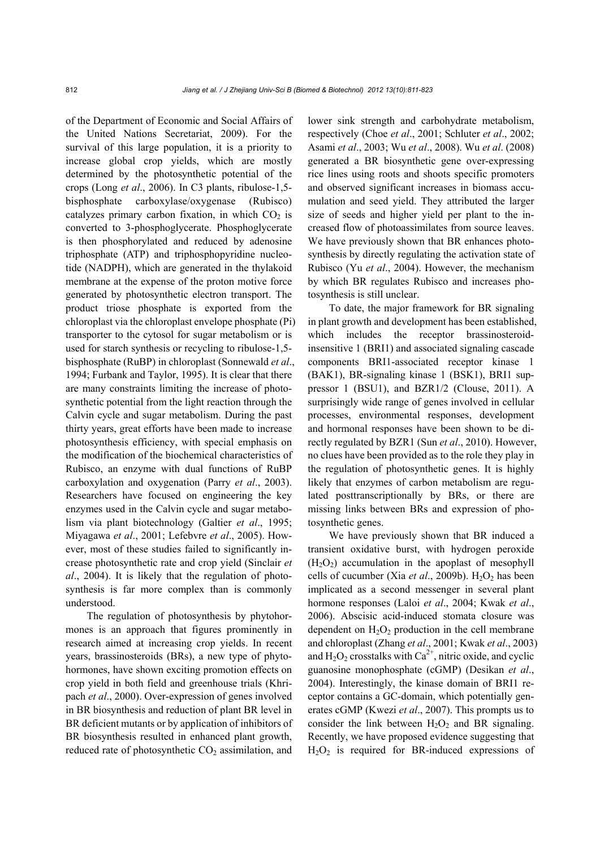of the Department of Economic and Social Affairs of the United Nations Secretariat, 2009). For the survival of this large population, it is a priority to increase global crop yields, which are mostly determined by the photosynthetic potential of the crops (Long *et al*., 2006). In C3 plants, ribulose-1,5 bisphosphate carboxylase/oxygenase (Rubisco) catalyzes primary carbon fixation, in which  $CO<sub>2</sub>$  is converted to 3-phosphoglycerate. Phosphoglycerate is then phosphorylated and reduced by adenosine triphosphate (ATP) and triphosphopyridine nucleotide (NADPH), which are generated in the thylakoid membrane at the expense of the proton motive force generated by photosynthetic electron transport. The product triose phosphate is exported from the chloroplast via the chloroplast envelope phosphate (Pi) transporter to the cytosol for sugar metabolism or is used for starch synthesis or recycling to ribulose-1,5 bisphosphate (RuBP) in chloroplast (Sonnewald *et al*., 1994; Furbank and Taylor, 1995). It is clear that there are many constraints limiting the increase of photosynthetic potential from the light reaction through the Calvin cycle and sugar metabolism. During the past thirty years, great efforts have been made to increase photosynthesis efficiency, with special emphasis on the modification of the biochemical characteristics of Rubisco, an enzyme with dual functions of RuBP carboxylation and oxygenation (Parry *et al*., 2003). Researchers have focused on engineering the key enzymes used in the Calvin cycle and sugar metabolism via plant biotechnology (Galtier *et al*., 1995; Miyagawa *et al*., 2001; Lefebvre *et al*., 2005). However, most of these studies failed to significantly increase photosynthetic rate and crop yield (Sinclair *et al*., 2004). It is likely that the regulation of photosynthesis is far more complex than is commonly understood.

The regulation of photosynthesis by phytohormones is an approach that figures prominently in research aimed at increasing crop yields. In recent years, brassinosteroids (BRs), a new type of phytohormones, have shown exciting promotion effects on crop yield in both field and greenhouse trials (Khripach *et al*., 2000). Over-expression of genes involved in BR biosynthesis and reduction of plant BR level in BR deficient mutants or by application of inhibitors of BR biosynthesis resulted in enhanced plant growth, reduced rate of photosynthetic  $CO<sub>2</sub>$  assimilation, and lower sink strength and carbohydrate metabolism, respectively (Choe *et al*., 2001; Schluter *et al*., 2002; Asami *et al*., 2003; Wu *et al*., 2008). Wu *et al*. (2008) generated a BR biosynthetic gene over-expressing rice lines using roots and shoots specific promoters and observed significant increases in biomass accumulation and seed yield. They attributed the larger size of seeds and higher yield per plant to the increased flow of photoassimilates from source leaves. We have previously shown that BR enhances photosynthesis by directly regulating the activation state of Rubisco (Yu *et al*., 2004). However, the mechanism by which BR regulates Rubisco and increases photosynthesis is still unclear.

To date, the major framework for BR signaling in plant growth and development has been established, which includes the receptor brassinosteroidinsensitive 1 (BRI1) and associated signaling cascade components BRI1-associated receptor kinase 1 (BAK1), BR-signaling kinase 1 (BSK1), BRI1 suppressor 1 (BSU1), and BZR1/2 (Clouse, 2011). A surprisingly wide range of genes involved in cellular processes, environmental responses, development and hormonal responses have been shown to be directly regulated by BZR1 (Sun *et al*., 2010). However, no clues have been provided as to the role they play in the regulation of photosynthetic genes. It is highly likely that enzymes of carbon metabolism are regulated posttranscriptionally by BRs, or there are missing links between BRs and expression of photosynthetic genes.

We have previously shown that BR induced a transient oxidative burst, with hydrogen peroxide  $(H<sub>2</sub>O<sub>2</sub>)$  accumulation in the apoplast of mesophyll cells of cucumber (Xia *et al.*, 2009b). H<sub>2</sub>O<sub>2</sub> has been implicated as a second messenger in several plant hormone responses (Laloi *et al*., 2004; Kwak *et al*., 2006). Abscisic acid-induced stomata closure was dependent on  $H_2O_2$  production in the cell membrane and chloroplast (Zhang *et al*., 2001; Kwak *et al*., 2003) and  $H_2O_2$  crosstalks with  $Ca^{2+}$ , nitric oxide, and cyclic guanosine monophosphate (cGMP) (Desikan *et al*., 2004). Interestingly, the kinase domain of BRI1 receptor contains a GC-domain, which potentially generates cGMP (Kwezi *et al*., 2007). This prompts us to consider the link between  $H_2O_2$  and BR signaling. Recently, we have proposed evidence suggesting that  $H<sub>2</sub>O<sub>2</sub>$  is required for BR-induced expressions of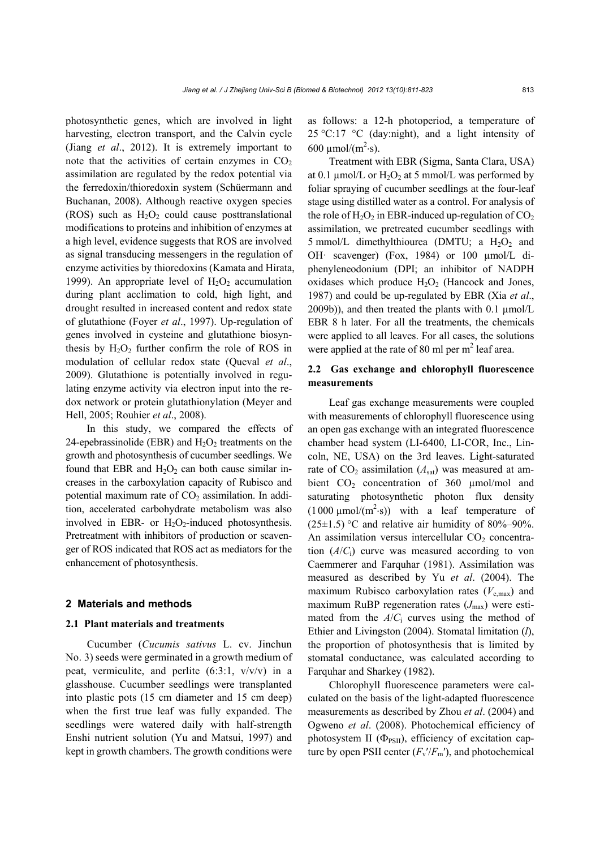photosynthetic genes, which are involved in light harvesting, electron transport, and the Calvin cycle (Jiang *et al*., 2012). It is extremely important to note that the activities of certain enzymes in  $CO<sub>2</sub>$ assimilation are regulated by the redox potential via the ferredoxin/thioredoxin system (Schüermann and Buchanan, 2008). Although reactive oxygen species (ROS) such as  $H_2O_2$  could cause posttranslational modifications to proteins and inhibition of enzymes at a high level, evidence suggests that ROS are involved as signal transducing messengers in the regulation of enzyme activities by thioredoxins (Kamata and Hirata, 1999). An appropriate level of  $H_2O_2$  accumulation during plant acclimation to cold, high light, and drought resulted in increased content and redox state of glutathione (Foyer *et al*., 1997). Up-regulation of genes involved in cysteine and glutathione biosynthesis by  $H_2O_2$  further confirm the role of ROS in modulation of cellular redox state (Queval *et al*., 2009). Glutathione is potentially involved in regulating enzyme activity via electron input into the redox network or protein glutathionylation (Meyer and Hell, 2005; Rouhier *et al*., 2008).

In this study, we compared the effects of 24-epebrassinolide (EBR) and  $H_2O_2$  treatments on the growth and photosynthesis of cucumber seedlings. We found that EBR and  $H_2O_2$  can both cause similar increases in the carboxylation capacity of Rubisco and potential maximum rate of  $CO<sub>2</sub>$  assimilation. In addition, accelerated carbohydrate metabolism was also involved in EBR- or  $H_2O_2$ -induced photosynthesis. Pretreatment with inhibitors of production or scavenger of ROS indicated that ROS act as mediators for the enhancement of photosynthesis.

### **2 Materials and methods**

## **2.1 Plant materials and treatments**

Cucumber (*Cucumis sativus* L. cv. Jinchun No. 3) seeds were germinated in a growth medium of peat, vermiculite, and perlite  $(6:3:1, v/v/v)$  in a glasshouse. Cucumber seedlings were transplanted into plastic pots (15 cm diameter and 15 cm deep) when the first true leaf was fully expanded. The seedlings were watered daily with half-strength Enshi nutrient solution (Yu and Matsui, 1997) and kept in growth chambers. The growth conditions were

as follows: a 12-h photoperiod, a temperature of 25 °C:17 °C (day:night), and a light intensity of 600  $\mu$ mol/(m<sup>2</sup>·s).

Treatment with EBR (Sigma, Santa Clara, USA) at 0.1  $\mu$ mol/L or H<sub>2</sub>O<sub>2</sub> at 5 mmol/L was performed by foliar spraying of cucumber seedlings at the four-leaf stage using distilled water as a control. For analysis of the role of  $H_2O_2$  in EBR-induced up-regulation of  $CO_2$ assimilation, we pretreated cucumber seedlings with 5 mmol/L dimethylthiourea (DMTU; a  $H_2O_2$  and OH· scavenger) (Fox, 1984) or 100 µmol/L diphenyleneodonium (DPI; an inhibitor of NADPH oxidases which produce  $H_2O_2$  (Hancock and Jones, 1987) and could be up-regulated by EBR (Xia *et al*.,  $2009b)$ ), and then treated the plants with 0.1  $\mu$ mol/L EBR 8 h later. For all the treatments, the chemicals were applied to all leaves. For all cases, the solutions were applied at the rate of 80 ml per  $m<sup>2</sup>$  leaf area.

## **2.2 Gas exchange and chlorophyll fluorescence measurements**

Leaf gas exchange measurements were coupled with measurements of chlorophyll fluorescence using an open gas exchange with an integrated fluorescence chamber head system (LI-6400, LI-COR, Inc., Lincoln, NE, USA) on the 3rd leaves. Light-saturated rate of  $CO_2$  assimilation  $(A<sub>sat</sub>)$  was measured at ambient  $CO<sub>2</sub>$  concentration of 360 µmol/mol and saturating photosynthetic photon flux density  $(1000 \mu \text{mol}/(\text{m}^2 \cdot \text{s}))$  with a leaf temperature of  $(25\pm1.5)$  °C and relative air humidity of 80%–90%. An assimilation versus intercellular  $CO<sub>2</sub>$  concentration  $(A/C_i)$  curve was measured according to von Caemmerer and Farquhar (1981). Assimilation was measured as described by Yu *et al*. (2004). The maximum Rubisco carboxylation rates  $(V_{\text{c max}})$  and maximum RuBP regeneration rates  $(J_{\text{max}})$  were estimated from the  $A/C<sub>i</sub>$  curves using the method of Ethier and Livingston (2004). Stomatal limitation (*l*), the proportion of photosynthesis that is limited by stomatal conductance, was calculated according to Farquhar and Sharkey (1982).

Chlorophyll fluorescence parameters were calculated on the basis of the light-adapted fluorescence measurements as described by Zhou *et al*. (2004) and Ogweno *et al*. (2008). Photochemical efficiency of photosystem II ( $\Phi_{PSII}$ ), efficiency of excitation capture by open PSII center  $(F_v'/F_m')$ , and photochemical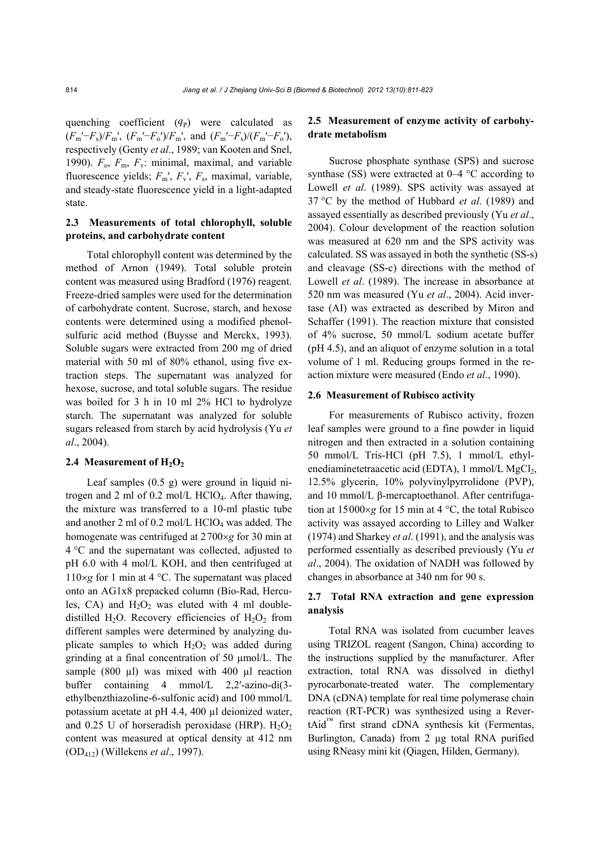quenching coefficient  $(q_P)$  were calculated as  $(F_m' - F_s)/F_m'$ ,  $(F_m' - F_o')/F_m'$ , and  $(F_m' - F_s)/(F_m' - F_o')$ , respectively (Genty *et al*., 1989; van Kooten and Snel, 1990).  $F_0$ ,  $F_m$ ,  $F_v$ : minimal, maximal, and variable fluorescence yields; *F*m′, *F*v′, *F*s, maximal, variable, and steady-state fluorescence yield in a light-adapted state.

## **2.3 Measurements of total chlorophyll, soluble proteins, and carbohydrate content**

Total chlorophyll content was determined by the method of Arnon (1949). Total soluble protein content was measured using Bradford (1976) reagent. Freeze-dried samples were used for the determination of carbohydrate content. Sucrose, starch, and hexose contents were determined using a modified phenolsulfuric acid method (Buysse and Merckx, 1993). Soluble sugars were extracted from 200 mg of dried material with 50 ml of 80% ethanol, using five extraction steps. The supernatant was analyzed for hexose, sucrose, and total soluble sugars. The residue was boiled for 3 h in 10 ml 2% HCl to hydrolyze starch. The supernatant was analyzed for soluble sugars released from starch by acid hydrolysis (Yu *et al*., 2004).

## 2.4 Measurement of H<sub>2</sub>O<sub>2</sub>

Leaf samples (0.5 g) were ground in liquid nitrogen and 2 ml of 0.2 mol/L HClO4. After thawing, the mixture was transferred to a 10-ml plastic tube and another 2 ml of  $0.2$  mol/L HClO<sub>4</sub> was added. The homogenate was centrifuged at 2700×g for 30 min at 4 °C and the supernatant was collected, adjusted to pH 6.0 with 4 mol/L KOH, and then centrifuged at  $110\times g$  for 1 min at 4 °C. The supernatant was placed onto an AG1x8 prepacked column (Bio-Rad, Hercules, CA) and  $H_2O_2$  was eluted with 4 ml doubledistilled H<sub>2</sub>O. Recovery efficiencies of H<sub>2</sub>O<sub>2</sub> from different samples were determined by analyzing duplicate samples to which  $H_2O_2$  was added during grinding at a final concentration of 50 µmol/L. The sample (800 µl) was mixed with 400 µl reaction buffer containing 4 mmol/L 2,2′-azino-di(3 ethylbenzthiazoline-6-sulfonic acid) and 100 mmol/L potassium acetate at pH 4.4, 400 µl deionized water, and 0.25 U of horseradish peroxidase (HRP).  $H_2O_2$ content was measured at optical density at 412 nm (OD412) (Willekens *et al*., 1997).

## **2.5 Measurement of enzyme activity of carbohydrate metabolism**

Sucrose phosphate synthase (SPS) and sucrose synthase (SS) were extracted at 0–4 °C according to Lowell *et al*. (1989). SPS activity was assayed at 37 °C by the method of Hubbard *et al*. (1989) and assayed essentially as described previously (Yu *et al*., 2004). Colour development of the reaction solution was measured at 620 nm and the SPS activity was calculated. SS was assayed in both the synthetic (SS-s) and cleavage (SS-c) directions with the method of Lowell *et al*. (1989). The increase in absorbance at 520 nm was measured (Yu *et al*., 2004). Acid invertase (AI) was extracted as described by Miron and Schaffer (1991). The reaction mixture that consisted of 4% sucrose, 50 mmol/L sodium acetate buffer (pH 4.5), and an aliquot of enzyme solution in a total volume of 1 ml. Reducing groups formed in the reaction mixture were measured (Endo *et al*., 1990).

#### **2.6 Measurement of Rubisco activity**

For measurements of Rubisco activity, frozen leaf samples were ground to a fine powder in liquid nitrogen and then extracted in a solution containing 50 mmol/L Tris-HCl (pH 7.5), 1 mmol/L ethylenediaminetetraacetic acid (EDTA), 1 mmol/L MgCl<sub>2</sub>, 12.5% glycerin, 10% polyvinylpyrrolidone (PVP), and 10 mmol/L β-mercaptoethanol. After centrifugation at  $15000 \times g$  for 15 min at 4 °C, the total Rubisco activity was assayed according to Lilley and Walker (1974) and Sharkey *et al*. (1991), and the analysis was performed essentially as described previously (Yu *et al*., 2004). The oxidation of NADH was followed by changes in absorbance at 340 nm for 90 s.

## **2.7 Total RNA extraction and gene expression analysis**

Total RNA was isolated from cucumber leaves using TRIZOL reagent (Sangon, China) according to the instructions supplied by the manufacturer. After extraction, total RNA was dissolved in diethyl pyrocarbonate-treated water. The complementary DNA (cDNA) template for real time polymerase chain reaction (RT-PCR) was synthesized using a RevertAid™ first strand cDNA synthesis kit (Fermentas, Burlington, Canada) from 2 µg total RNA purified using RNeasy mini kit (Qiagen, Hilden, Germany).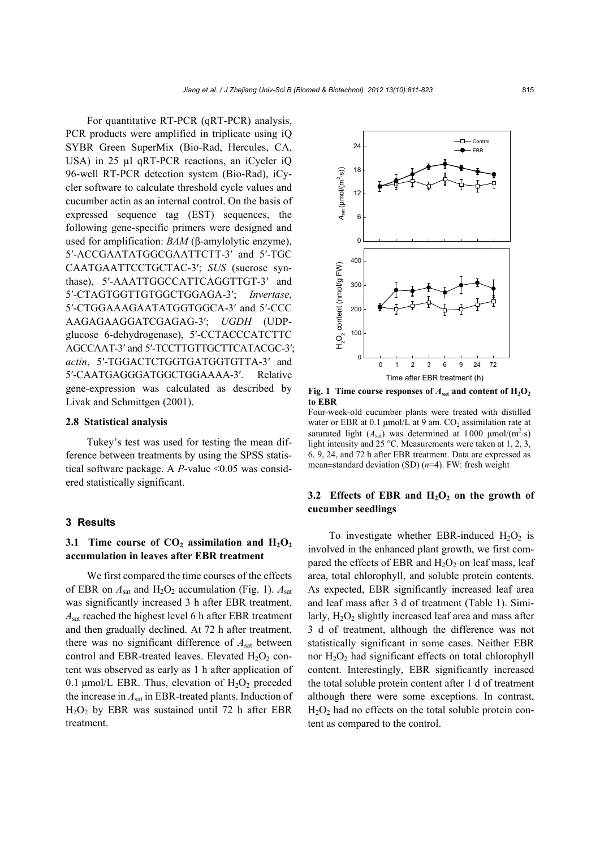For quantitative RT-PCR (qRT-PCR) analysis, PCR products were amplified in triplicate using iQ SYBR Green SuperMix (Bio-Rad, Hercules, CA, USA) in 25 µl qRT-PCR reactions, an iCycler iO 96-well RT-PCR detection system (Bio-Rad), iCycler software to calculate threshold cycle values and cucumber actin as an internal control. On the basis of expressed sequence tag (EST) sequences, the following gene-specific primers were designed and used for amplification: *BAM* (β-amylolytic enzyme), 5′-ACCGAATATGGCGAATTCTT-3′ and 5′-TGC CAATGAATTCCTGCTAC-3′; *SUS* (sucrose synthase), 5′-AAATTGGCCATTCAGGTTGT-3′ and 5′-CTAGTGGTTGTGGCTGGAGA-3′; *Invertase*, 5′-CTGGAAAGAATATGGTGGCA-3′ and 5′-CCC AAGAGAAGGATCGAGAG-3′; *UGDH* (UDPglucose 6-dehydrogenase), 5′-CCTACCCATCTTC AGCCAAT-3′ and 5′-TCCTTGTTGCTTCATACGC-3′; *actin*, 5′-TGGACTCTGGTGATGGTGTTA-3′ and 5′-CAATGAGGGATGGCTGGAAAA-3′. Relative gene-expression was calculated as described by Livak and Schmittgen (2001).

#### **2.8 Statistical analysis**

Tukey's test was used for testing the mean difference between treatments by using the SPSS statistical software package. A *P*-value <0.05 was considered statistically significant.

#### **3 Results**

## **3.1 Time course of**  $CO_2$  **assimilation and**  $H_2O_2$ **accumulation in leaves after EBR treatment**

We first compared the time courses of the effects of EBR on  $A_{sat}$  and  $H_2O_2$  accumulation (Fig. 1).  $A_{sat}$ was significantly increased 3 h after EBR treatment. *A*sat reached the highest level 6 h after EBR treatment and then gradually declined. At 72 h after treatment, there was no significant difference of *A*sat between control and EBR-treated leaves. Elevated  $H_2O_2$  content was observed as early as 1 h after application of 0.1  $\mu$ mol/L EBR. Thus, elevation of H<sub>2</sub>O<sub>2</sub> preceded the increase in *A*sat in EBR-treated plants. Induction of  $H<sub>2</sub>O<sub>2</sub>$  by EBR was sustained until 72 h after EBR treatment.



**Fig. 1 Time course responses of**  $A_{sat}$  **and content of**  $H_2O_2$ **to EBR**

Four-week-old cucumber plants were treated with distilled water or EBR at 0.1  $\mu$ mol/L at 9 am. CO<sub>2</sub> assimilation rate at saturated light  $(A<sub>sat</sub>)$  was determined at 1000  $\mu$ mol/(m<sup>2</sup>·s) light intensity and 25 °C. Measurements were taken at 1, 2, 3, 6, 9, 24, and 72 h after EBR treatment. Data are expressed as mean±standard deviation (SD) (*n*=4). FW: fresh weight

# 3.2 Effects of EBR and  $H_2O_2$  on the growth of **cucumber seedlings**

To investigate whether EBR-induced  $H_2O_2$  is involved in the enhanced plant growth, we first compared the effects of EBR and  $H_2O_2$  on leaf mass, leaf area, total chlorophyll, and soluble protein contents. As expected, EBR significantly increased leaf area and leaf mass after 3 d of treatment (Table 1). Similarly,  $H_2O_2$  slightly increased leaf area and mass after 3 d of treatment, although the difference was not statistically significant in some cases. Neither EBR nor  $H_2O_2$  had significant effects on total chlorophyll content. Interestingly, EBR significantly increased the total soluble protein content after 1 d of treatment although there were some exceptions. In contrast,  $H<sub>2</sub>O<sub>2</sub>$  had no effects on the total soluble protein content as compared to the control.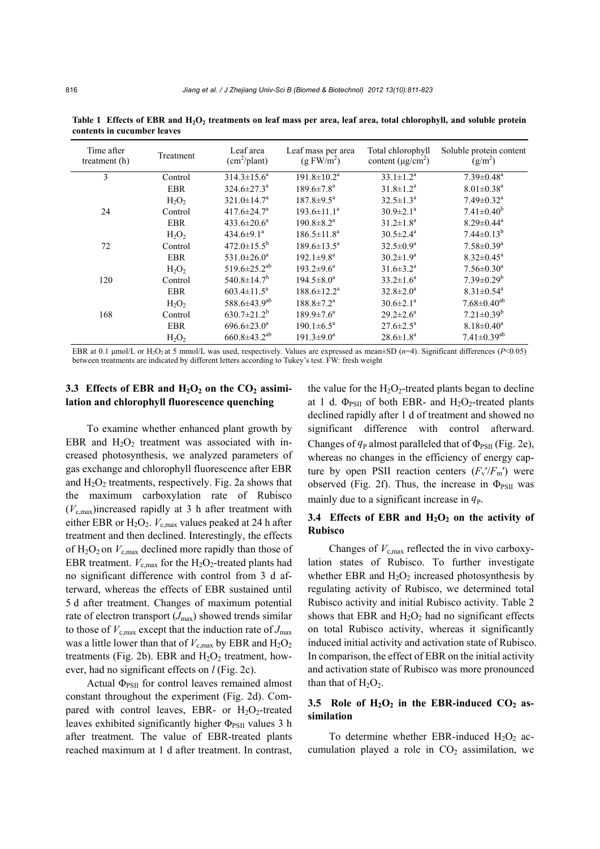| Treatment  | Leaf area<br>$(cm^2$ /plant)   | Leaf mass per area<br>(g FW/m <sup>2</sup> ) | Total chlorophyll<br>content ( $\mu$ g/cm <sup>2</sup> ) | Soluble protein content<br>$(g/m^2)$ |
|------------|--------------------------------|----------------------------------------------|----------------------------------------------------------|--------------------------------------|
| Control    | $314.3 \pm 15.6^a$             | $191.8 \pm 10.2^a$                           | $33.1 \pm 1.2^a$                                         | $7.39 \pm 0.48$ <sup>a</sup>         |
| <b>EBR</b> | $324.6 \pm 27.3^{\text{a}}$    | $189.6 \pm 7.8^{\text{a}}$                   | $31.8 \pm 1.2^a$                                         | $8.01 \pm 0.38$ <sup>a</sup>         |
| $H_2O_2$   | $321.0 \pm 14.7^a$             | $187.8 \pm 9.5^{\text{a}}$                   | $32.5 \pm 1.3^a$                                         | $7.49 \pm 0.32$ <sup>a</sup>         |
| Control    | $417.6 \pm 24.7^{\circ}$       | $193.6 \pm 11.1^a$                           | $30.9 \pm 2.1^a$                                         | $7.41 \pm 0.40^b$                    |
| <b>EBR</b> | $433.6 \pm 20.6^a$             | $190.8 \pm 8.2$ <sup>a</sup>                 | $31.2 \pm 1.8^a$                                         | $8.29 \pm 0.44$ <sup>a</sup>         |
| $H_2O_2$   | 434.6 $\pm$ 9.1 <sup>a</sup>   | $186.5 \pm 11.8^a$                           | $30.5 \pm 2.4^{\text{a}}$                                | $7.44 \pm 0.13^b$                    |
| Control    | $472.0 \pm 15.5^b$             | $189.6 \pm 13.5^{\circ}$                     | $32.5 \pm 0.9^a$                                         | $7.58 \pm 0.39$ <sup>a</sup>         |
| <b>EBR</b> | $531.0 \pm 26.0^a$             | $192.1 \pm 9.8^a$                            | $30.2 \pm 1.9^a$                                         | $8.32 \pm 0.45^a$                    |
| $H_2O_2$   | 519.6 $\pm$ 25.2 <sup>ab</sup> | $193.2 \pm 9.6^a$                            | $31.6 \pm 3.2^a$                                         | $7.56 \pm 0.30$ <sup>a</sup>         |
| Control    | $540.8 \pm 14.7$ <sup>b</sup>  | $194.5 \pm 8.0^a$                            | $33.2 \pm 1.6^a$                                         | $7.39 \pm 0.29^b$                    |
| <b>EBR</b> | $603.4 \pm 11.5^a$             | $188.6 \pm 12.2^{\text{a}}$                  | $32.8 \pm 2.0^a$                                         | $8.31 \pm 0.54$ <sup>a</sup>         |
| $H_2O_2$   | 588.6±43.9 <sup>ab</sup>       | $188.8 \pm 7.2^{\mathrm{a}}$                 | $30.6 \pm 2.1$ <sup>a</sup>                              | $7.68 \pm 0.40^{ab}$                 |
| Control    | $630.7 \pm 21.2^b$             | $189.9 \pm 7.6^{\circ}$                      | $29.2 \pm 2.6^a$                                         | $7.21 \pm 0.39^b$                    |
| <b>EBR</b> | $696.6 \pm 23.0^a$             | $190.1 \pm 6.5^{\text{a}}$                   | $27.6 \pm 2.5^{\text{a}}$                                | $8.18 \pm 0.40^a$                    |
| $H_2O_2$   | $660.8 \pm 43.2$ <sup>ab</sup> | $191.3 \pm 9.0^a$                            | $28.6 \pm 1.8^a$                                         | $7.41 \pm 0.39$ <sup>ab</sup>        |
|            |                                |                                              |                                                          |                                      |

Table 1 Effects of EBR and H<sub>2</sub>O<sub>2</sub> treatments on leaf mass per area, leaf area, total chlorophyll, and soluble protein **contents in cucumber leaves** 

EBR at 0.1 μmol/L or H2O2 at 5 mmol/L was used, respectively. Values are expressed as mean±SD (*n*=4). Significant differences (*P*<0.05) between treatments are indicated by different letters according to Tukey's test. FW: fresh weight

## 3.3 Effects of EBR and H<sub>2</sub>O<sub>2</sub> on the CO<sub>2</sub> assimi**lation and chlorophyll fluorescence quenching**

To examine whether enhanced plant growth by EBR and  $H_2O_2$  treatment was associated with increased photosynthesis, we analyzed parameters of gas exchange and chlorophyll fluorescence after EBR and  $H_2O_2$  treatments, respectively. Fig. 2a shows that the maximum carboxylation rate of Rubisco  $(V_{c,max})$ increased rapidly at 3 h after treatment with either EBR or  $H_2O_2$ .  $V_{c,max}$  values peaked at 24 h after treatment and then declined. Interestingly, the effects of  $H_2O_2$  on  $V_{c,max}$  declined more rapidly than those of EBR treatment.  $V_{\text{c,max}}$  for the H<sub>2</sub>O<sub>2</sub>-treated plants had no significant difference with control from 3 d afterward, whereas the effects of EBR sustained until 5 d after treatment. Changes of maximum potential rate of electron transport  $(J_{\text{max}})$  showed trends similar to those of  $V_{\text{c,max}}$  except that the induction rate of  $J_{\text{max}}$ was a little lower than that of  $V_{c,max}$  by EBR and  $H_2O_2$ treatments (Fig. 2b). EBR and  $H_2O_2$  treatment, however, had no significant effects on *l* (Fig. 2c).

Actual  $\Phi_{PSII}$  for control leaves remained almost constant throughout the experiment (Fig. 2d). Compared with control leaves, EBR- or  $H_2O_2$ -treated leaves exhibited significantly higher  $\Phi_{PSII}$  values 3 h after treatment. The value of EBR-treated plants reached maximum at 1 d after treatment. In contrast, the value for the  $H_2O_2$ -treated plants began to decline at 1 d.  $\Phi_{PSII}$  of both EBR- and H<sub>2</sub>O<sub>2</sub>-treated plants declined rapidly after 1 d of treatment and showed no significant difference with control afterward. Changes of  $q_P$  almost paralleled that of  $\Phi_{PSII}$  (Fig. 2e), whereas no changes in the efficiency of energy capture by open PSII reaction centers  $(F_v'/F_m')$  were observed (Fig. 2f). Thus, the increase in  $\Phi_{PSII}$  was mainly due to a significant increase in  $q<sub>P</sub>$ .

## 3.4 Effects of EBR and H<sub>2</sub>O<sub>2</sub> on the activity of **Rubisco**

Changes of  $V_{\rm c,max}$  reflected the in vivo carboxylation states of Rubisco. To further investigate whether EBR and  $H_2O_2$  increased photosynthesis by regulating activity of Rubisco, we determined total Rubisco activity and initial Rubisco activity. Table 2 shows that EBR and  $H_2O_2$  had no significant effects on total Rubisco activity, whereas it significantly induced initial activity and activation state of Rubisco. In comparison, the effect of EBR on the initial activity and activation state of Rubisco was more pronounced than that of  $H_2O_2$ .

## 3.5 Role of  $H_2O_2$  in the EBR-induced CO<sub>2</sub> as**similation**

To determine whether EBR-induced  $H_2O_2$  accumulation played a role in  $CO<sub>2</sub>$  assimilation, we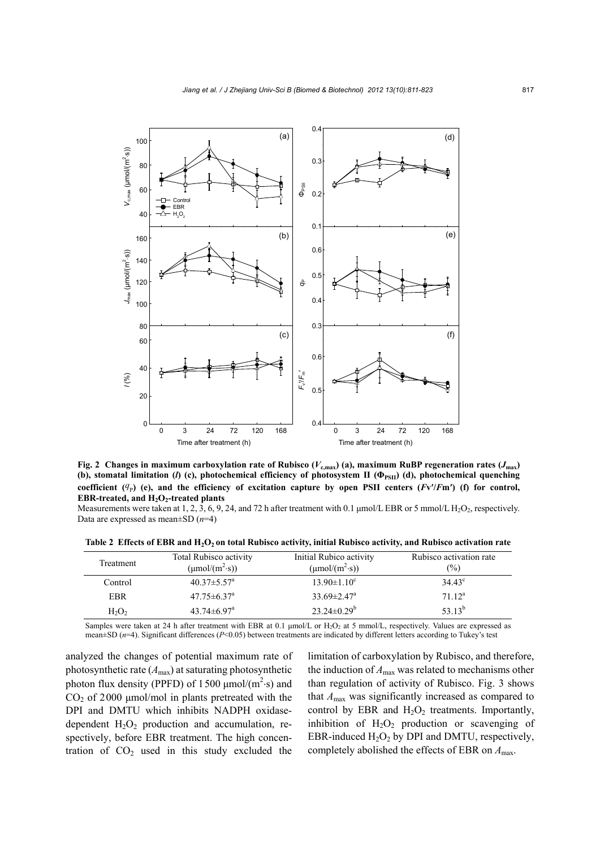



Measurements were taken at 1, 2, 3, 6, 9, 24, and 72 h after treatment with 0.1 µmol/L EBR or 5 mmol/L H<sub>2</sub>O<sub>2</sub>, respectively. Data are expressed as mean±SD (*n*=4)

Table 2 Effects of EBR and H<sub>2</sub>O<sub>2</sub> on total Rubisco activity, initial Rubisco activity, and Rubisco activation rate

| Treatment  | <b>Total Rubisco activity</b><br>$(\mu \text{mol}/(\text{m}^2 \cdot \text{s}))$ | Initial Rubico activity<br>$(\mu \text{mol}/(\text{m}^2 \cdot \text{s}))$ | Rubisco activation rate<br>$(\%)$ |
|------------|---------------------------------------------------------------------------------|---------------------------------------------------------------------------|-----------------------------------|
| Control    | $40.37 \pm 5.57^{\circ}$                                                        | $13.90 \pm 1.10^c$                                                        | $34.43^{\circ}$                   |
| <b>EBR</b> | $47.75 \pm 6.37$ <sup>a</sup>                                                   | $33.69 \pm 2.47^{\circ}$                                                  | $71 \; 12^a$                      |
| $H_2O_2$   | $43.74 \pm 6.97$ <sup>a</sup>                                                   | $23.24 \pm 0.29^b$                                                        | 53 13 <sup>b</sup>                |

Samples were taken at 24 h after treatment with EBR at 0.1 µmol/L or H<sub>2</sub>O<sub>2</sub> at 5 mmol/L, respectively. Values are expressed as mean±SD ( $n=4$ ). Significant differences ( $P<0.05$ ) between treatments are indicated by different letters according to Tukey's test

analyzed the changes of potential maximum rate of photosynthetic rate (*A*max) at saturating photosynthetic photon flux density (PPFD) of  $1500 \mu$ mol/(m<sup>2</sup>·s) and  $CO<sub>2</sub>$  of 2000 µmol/mol in plants pretreated with the DPI and DMTU which inhibits NADPH oxidasedependent  $H_2O_2$  production and accumulation, respectively, before EBR treatment. The high concentration of  $CO<sub>2</sub>$  used in this study excluded the

limitation of carboxylation by Rubisco, and therefore, the induction of  $A_{\text{max}}$  was related to mechanisms other than regulation of activity of Rubisco. Fig. 3 shows that *A*max was significantly increased as compared to control by EBR and  $H_2O_2$  treatments. Importantly, inhibition of  $H_2O_2$  production or scavenging of EBR-induced  $H_2O_2$  by DPI and DMTU, respectively, completely abolished the effects of EBR on *A*max.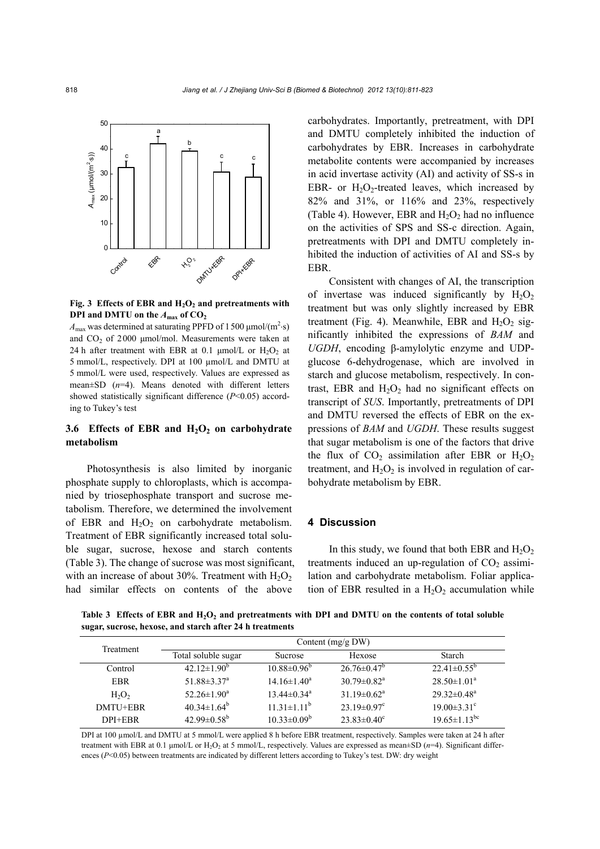

Fig. 3 Effects of EBR and  $H_2O_2$  and pretreatments with **DPI and DMTU on the**  $A_{\text{max}}$  **of**  $CO_2$ 

 $A_{\text{max}}$  was determined at saturating PPFD of 1500  $\mu$ mol/(m<sup>2</sup>·s) and  $CO<sub>2</sub>$  of 2000 µmol/mol. Measurements were taken at 24 h after treatment with EBR at 0.1  $\mu$ mol/L or H<sub>2</sub>O<sub>2</sub> at 5 mmol/L, respectively. DPI at 100 µmol/L and DMTU at 5 mmol/L were used, respectively. Values are expressed as mean±SD (*n*=4). Means denoted with different letters showed statistically significant difference (*P*<0.05) according to Tukey's test

## 3.6 Effects of EBR and H<sub>2</sub>O<sub>2</sub> on carbohydrate **metabolism**

Photosynthesis is also limited by inorganic phosphate supply to chloroplasts, which is accompanied by triosephosphate transport and sucrose metabolism. Therefore, we determined the involvement of EBR and  $H_2O_2$  on carbohydrate metabolism. Treatment of EBR significantly increased total soluble sugar, sucrose, hexose and starch contents (Table 3). The change of sucrose was most significant, with an increase of about 30%. Treatment with  $H_2O_2$ had similar effects on contents of the above

carbohydrates. Importantly, pretreatment, with DPI and DMTU completely inhibited the induction of carbohydrates by EBR. Increases in carbohydrate metabolite contents were accompanied by increases in acid invertase activity (AI) and activity of SS-s in EBR- or  $H_2O_2$ -treated leaves, which increased by 82% and 31%, or 116% and 23%, respectively (Table 4). However, EBR and  $H_2O_2$  had no influence on the activities of SPS and SS-c direction. Again, pretreatments with DPI and DMTU completely inhibited the induction of activities of AI and SS-s by EBR.

Consistent with changes of AI, the transcription of invertase was induced significantly by  $H_2O_2$ treatment but was only slightly increased by EBR treatment (Fig. 4). Meanwhile, EBR and  $H_2O_2$  significantly inhibited the expressions of *BAM* and *UGDH*, encoding β-amylolytic enzyme and UDPglucose 6-dehydrogenase, which are involved in starch and glucose metabolism, respectively. In contrast, EBR and  $H_2O_2$  had no significant effects on transcript of *SUS*. Importantly, pretreatments of DPI and DMTU reversed the effects of EBR on the expressions of *BAM* and *UGDH*. These results suggest that sugar metabolism is one of the factors that drive the flux of  $CO_2$  assimilation after EBR or  $H_2O_2$ treatment, and  $H_2O_2$  is involved in regulation of carbohydrate metabolism by EBR.

## **4 Discussion**

In this study, we found that both EBR and  $H_2O_2$ treatments induced an up-regulation of  $CO<sub>2</sub>$  assimilation and carbohydrate metabolism. Foliar application of EBR resulted in a  $H_2O_2$  accumulation while

Table 3 Effects of EBR and H<sub>2</sub>O<sub>2</sub> and pretreatments with DPI and DMTU on the contents of total soluble **sugar, sucrose, hexose, and starch after 24 h treatments** 

| Treatment  | Content $(mg/g)$ DW)          |                          |                               |                                |
|------------|-------------------------------|--------------------------|-------------------------------|--------------------------------|
|            | Total soluble sugar           | <b>Sucrose</b>           | Hexose                        | Starch                         |
| Control    | $42.12 \pm 1.90$ <sup>b</sup> | $10.88 \pm 0.96^{\circ}$ | $26.76 \pm 0.47$ <sup>b</sup> | $22.41 \pm 0.55^{\circ}$       |
| <b>EBR</b> | 51.88 $\pm$ 3.37 <sup>a</sup> | $14.16 \pm 1.40^a$       | $30.79 \pm 0.82$ <sup>a</sup> | $28.50 \pm 1.01^a$             |
| $H_2O_2$   | $52.26 \pm 1.90^a$            | $13.44\pm0.34^{\circ}$   | $31.19 \pm 0.62$ <sup>a</sup> | $29.32 \pm 0.48^a$             |
| DMTU+EBR   | $40.34 \pm 1.64^b$            | $11.31 \pm 1.11^b$       | $23.19 \pm 0.97$ <sup>c</sup> | $19.00 \pm 3.31$ <sup>c</sup>  |
| DPI+EBR    | $42.99 \pm 0.58^{\rm b}$      | $10.33 \pm 0.09^b$       | $23.83 \pm 0.40^c$            | $19.65 \pm 1.13$ <sup>bc</sup> |

DPI at 100  $\mu$ mol/L and DMTU at 5 mmol/L were applied 8 h before EBR treatment, respectively. Samples were taken at 24 h after treatment with EBR at 0.1  $\mu$ mol/L or H<sub>2</sub>O<sub>2</sub> at 5 mmol/L, respectively. Values are expressed as mean $\pm$ SD (*n*=4). Significant differences (*P*<0.05) between treatments are indicated by different letters according to Tukey's test. DW: dry weight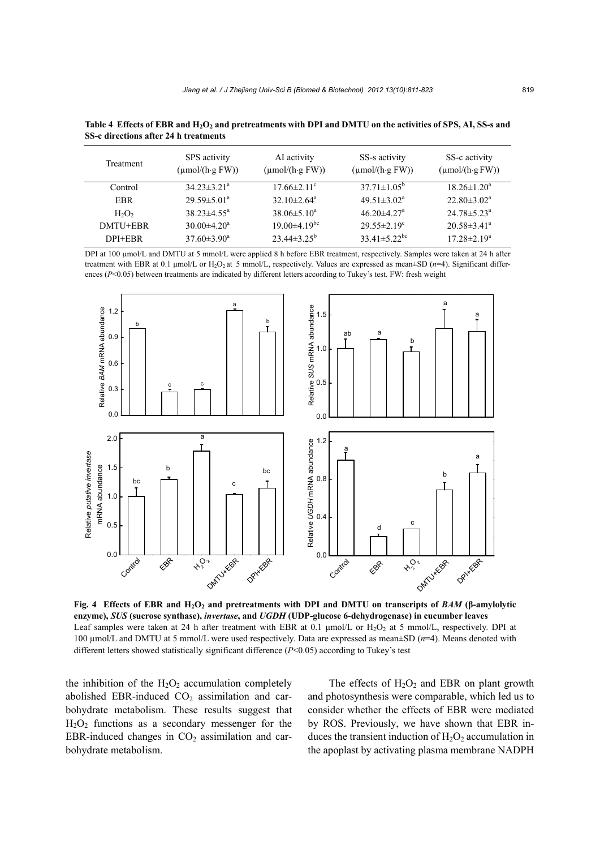| Treatment  | SPS activity<br>$(\mu \text{mol}/(\text{h} \cdot \text{g} \text{FW}))$ | AI activity<br>$(\mu \text{mol}/(\text{h} \cdot \text{g} \text{FW}))$ | SS-s activity<br>$(\mu \text{mol}/(\text{h} \cdot \text{g} \text{FW}))$ | SS-c activity<br>$(\mu \text{mol}/(\text{h} \cdot \text{g} \text{FW}))$ |
|------------|------------------------------------------------------------------------|-----------------------------------------------------------------------|-------------------------------------------------------------------------|-------------------------------------------------------------------------|
| Control    | $34.23 \pm 3.21^{\circ}$                                               | $17.66 \pm 2.11$ <sup>c</sup>                                         | $37.71 \pm 1.05^{\circ}$                                                | $18.26 \pm 1.20^a$                                                      |
| <b>EBR</b> | $29.59 \pm 5.01^{\circ}$                                               | $32.10 \pm 2.64^{\circ}$                                              | $49.51 \pm 3.02^a$                                                      | $22.80 \pm 3.02^a$                                                      |
| $H_2O_2$   | $38.23 \pm 4.55^{\circ}$                                               | $38.06 \pm 5.10^a$                                                    | $46.20 \pm 4.27$ <sup>a</sup>                                           | $24.78 \pm 5.23^{\circ}$                                                |
| DMTU+EBR   | $30.00 \pm 4.20^{\circ}$                                               | $19.00\pm4.19$ <sup>bc</sup>                                          | $29.55 \pm 2.19^c$                                                      | $20.58 \pm 3.41^{\circ}$                                                |
| DPI+EBR    | $37.60 \pm 3.90^a$                                                     | $23.44\pm3.25^b$                                                      | $33.41 \pm 5.22$ <sup>bc</sup>                                          | $17.28 \pm 2.19^a$                                                      |

Table 4 Effects of EBR and H<sub>2</sub>O<sub>2</sub> and pretreatments with DPI and DMTU on the activities of SPS, AI, SS-s and **SS-c directions after 24 h treatments**

DPI at 100 µmol/L and DMTU at 5 mmol/L were applied 8 h before EBR treatment, respectively. Samples were taken at 24 h after treatment with EBR at 0.1  $\mu$ mol/L or H<sub>2</sub>O<sub>2</sub> at 5 mmol/L, respectively. Values are expressed as mean $\pm$ SD ( $n=4$ ). Significant differences (*P*<0.05) between treatments are indicated by different letters according to Tukey's test. FW: fresh weight



**Fig. 4** Effects of EBR and  $H_2O_2$  and pretreatments with DPI and DMTU on transcripts of  $BAM$  ( $\beta$ -amylolytic **enzyme),** *SUS* **(sucrose synthase),** *invertase***, and** *UGDH* **(UDP-glucose 6-dehydrogenase) in cucumber leaves** Leaf samples were taken at 24 h after treatment with EBR at 0.1  $\mu$ mol/L or H<sub>2</sub>O<sub>2</sub> at 5 mmol/L, respectively. DPI at 100 µmol/L and DMTU at 5 mmol/L were used respectively. Data are expressed as mean±SD (*n*=4). Means denoted with different letters showed statistically significant difference (*P*<0.05) according to Tukey's test

the inhibition of the  $H_2O_2$  accumulation completely abolished EBR-induced  $CO<sub>2</sub>$  assimilation and carbohydrate metabolism. These results suggest that  $H<sub>2</sub>O<sub>2</sub>$  functions as a secondary messenger for the EBR-induced changes in  $CO<sub>2</sub>$  assimilation and carbohydrate metabolism.

The effects of  $H_2O_2$  and EBR on plant growth and photosynthesis were comparable, which led us to consider whether the effects of EBR were mediated by ROS. Previously, we have shown that EBR induces the transient induction of  $H_2O_2$  accumulation in the apoplast by activating plasma membrane NADPH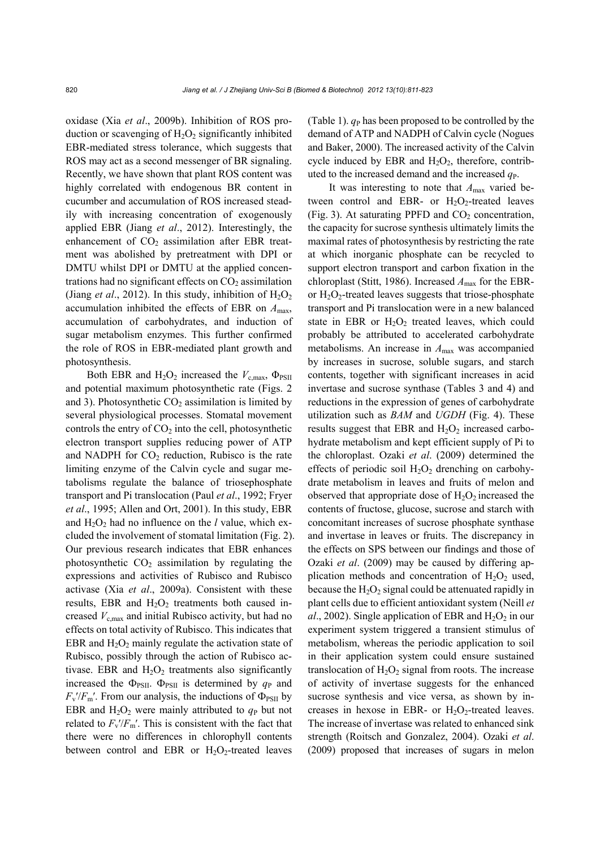oxidase (Xia *et al*., 2009b). Inhibition of ROS production or scavenging of  $H_2O_2$  significantly inhibited EBR-mediated stress tolerance, which suggests that ROS may act as a second messenger of BR signaling. Recently, we have shown that plant ROS content was highly correlated with endogenous BR content in cucumber and accumulation of ROS increased steadily with increasing concentration of exogenously applied EBR (Jiang *et al*., 2012). Interestingly, the enhancement of  $CO<sub>2</sub>$  assimilation after EBR treatment was abolished by pretreatment with DPI or DMTU whilst DPI or DMTU at the applied concentrations had no significant effects on  $CO<sub>2</sub>$  assimilation (Jiang *et al.*, 2012). In this study, inhibition of  $H_2O_2$ accumulation inhibited the effects of EBR on *A*max, accumulation of carbohydrates, and induction of sugar metabolism enzymes. This further confirmed the role of ROS in EBR-mediated plant growth and photosynthesis.

Both EBR and  $H_2O_2$  increased the  $V_{c,max}$ ,  $\Phi_{PSII}$ and potential maximum photosynthetic rate (Figs. 2 and 3). Photosynthetic  $CO<sub>2</sub>$  assimilation is limited by several physiological processes. Stomatal movement controls the entry of  $CO<sub>2</sub>$  into the cell, photosynthetic electron transport supplies reducing power of ATP and NADPH for  $CO<sub>2</sub>$  reduction, Rubisco is the rate limiting enzyme of the Calvin cycle and sugar metabolisms regulate the balance of triosephosphate transport and Pi translocation (Paul *et al*., 1992; Fryer *et al*., 1995; Allen and Ort, 2001). In this study, EBR and  $H_2O_2$  had no influence on the *l* value, which excluded the involvement of stomatal limitation (Fig. 2). Our previous research indicates that EBR enhances photosynthetic  $CO<sub>2</sub>$  assimilation by regulating the expressions and activities of Rubisco and Rubisco activase (Xia *et al*., 2009a). Consistent with these results, EBR and  $H_2O_2$  treatments both caused increased *V*c,max and initial Rubisco activity, but had no effects on total activity of Rubisco. This indicates that EBR and  $H_2O_2$  mainly regulate the activation state of Rubisco, possibly through the action of Rubisco activase. EBR and  $H_2O_2$  treatments also significantly increased the  $\Phi_{PSII}$ .  $\Phi_{PSII}$  is determined by  $q_P$  and  $F_v$ <sup>'</sup>/ $F_m$ '. From our analysis, the inductions of  $\Phi_{PSII}$  by EBR and  $H_2O_2$  were mainly attributed to  $q_P$  but not related to  $F_v/F_m'$ . This is consistent with the fact that there were no differences in chlorophyll contents between control and EBR or  $H_2O_2$ -treated leaves

(Table 1).  $q_P$  has been proposed to be controlled by the demand of ATP and NADPH of Calvin cycle (Nogues and Baker, 2000). The increased activity of the Calvin cycle induced by EBR and  $H_2O_2$ , therefore, contributed to the increased demand and the increased  $q<sub>P</sub>$ .

It was interesting to note that *A*max varied between control and EBR- or  $H_2O_2$ -treated leaves (Fig. 3). At saturating PPFD and  $CO<sub>2</sub>$  concentration, the capacity for sucrose synthesis ultimately limits the maximal rates of photosynthesis by restricting the rate at which inorganic phosphate can be recycled to support electron transport and carbon fixation in the chloroplast (Stitt, 1986). Increased *A*max for the EBRor  $H_2O_2$ -treated leaves suggests that triose-phosphate transport and Pi translocation were in a new balanced state in EBR or  $H_2O_2$  treated leaves, which could probably be attributed to accelerated carbohydrate metabolisms. An increase in *A*max was accompanied by increases in sucrose, soluble sugars, and starch contents, together with significant increases in acid invertase and sucrose synthase (Tables 3 and 4) and reductions in the expression of genes of carbohydrate utilization such as *BAM* and *UGDH* (Fig. 4). These results suggest that EBR and  $H_2O_2$  increased carbohydrate metabolism and kept efficient supply of Pi to the chloroplast. Ozaki *et al*. (2009) determined the effects of periodic soil  $H_2O_2$  drenching on carbohydrate metabolism in leaves and fruits of melon and observed that appropriate dose of  $H_2O_2$  increased the contents of fructose, glucose, sucrose and starch with concomitant increases of sucrose phosphate synthase and invertase in leaves or fruits. The discrepancy in the effects on SPS between our findings and those of Ozaki *et al*. (2009) may be caused by differing application methods and concentration of  $H_2O_2$  used, because the  $H_2O_2$  signal could be attenuated rapidly in plant cells due to efficient antioxidant system (Neill *et al.*, 2002). Single application of EBR and  $H_2O_2$  in our experiment system triggered a transient stimulus of metabolism, whereas the periodic application to soil in their application system could ensure sustained translocation of  $H_2O_2$  signal from roots. The increase of activity of invertase suggests for the enhanced sucrose synthesis and vice versa, as shown by increases in hexose in EBR- or  $H_2O_2$ -treated leaves. The increase of invertase was related to enhanced sink strength (Roitsch and Gonzalez, 2004). Ozaki *et al*. (2009) proposed that increases of sugars in melon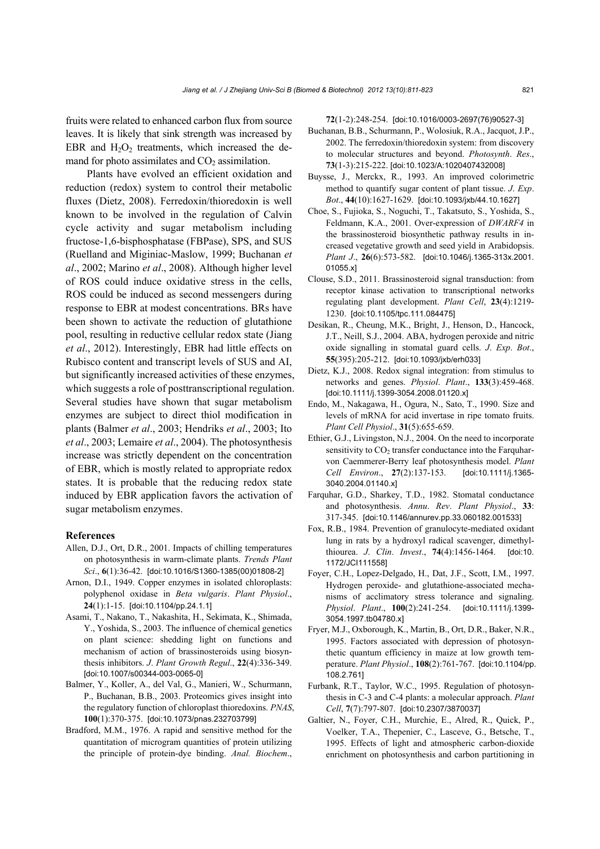fruits were related to enhanced carbon flux from source leaves. It is likely that sink strength was increased by EBR and  $H_2O_2$  treatments, which increased the demand for photo assimilates and  $CO<sub>2</sub>$  assimilation.

Plants have evolved an efficient oxidation and reduction (redox) system to control their metabolic fluxes (Dietz, 2008). Ferredoxin/thioredoxin is well known to be involved in the regulation of Calvin cycle activity and sugar metabolism including fructose-1,6-bisphosphatase (FBPase), SPS, and SUS (Ruelland and Miginiac-Maslow, 1999; Buchanan *et al*., 2002; Marino *et al*., 2008). Although higher level of ROS could induce oxidative stress in the cells, ROS could be induced as second messengers during response to EBR at modest concentrations. BRs have been shown to activate the reduction of glutathione pool, resulting in reductive cellular redox state (Jiang *et al*., 2012). Interestingly, EBR had little effects on Rubisco content and transcript levels of SUS and AI, but significantly increased activities of these enzymes, which suggests a role of posttranscriptional regulation. Several studies have shown that sugar metabolism enzymes are subject to direct thiol modification in plants (Balmer *et al*., 2003; Hendriks *et al*., 2003; Ito *et al*., 2003; Lemaire *et al*., 2004). The photosynthesis increase was strictly dependent on the concentration of EBR, which is mostly related to appropriate redox states. It is probable that the reducing redox state induced by EBR application favors the activation of sugar metabolism enzymes.

#### **References**

- Allen, D.J., Ort, D.R., 2001. Impacts of chilling temperatures on photosynthesis in warm-climate plants. *Trends Plant Sci*., **6**(1):36-42. [doi:10.1016/S1360-1385(00)01808-2]
- Arnon, D.I., 1949. Copper enzymes in isolated chloroplasts: polyphenol oxidase in *Beta vulgaris*. *Plant Physiol*., **24**(1):1-15. [doi:10.1104/pp.24.1.1]
- Asami, T., Nakano, T., Nakashita, H., Sekimata, K., Shimada, Y., Yoshida, S., 2003. The influence of chemical genetics on plant science: shedding light on functions and mechanism of action of brassinosteroids using biosynthesis inhibitors. *J*. *Plant Growth Regul*., **22**(4):336-349. [doi:10.1007/s00344-003-0065-0]
- Balmer, Y., Koller, A., del Val, G., Manieri, W., Schurmann, P., Buchanan, B.B., 2003. Proteomics gives insight into the regulatory function of chloroplast thioredoxins. *PNAS*, **100**(1):370-375. [doi:10.1073/pnas.232703799]
- Bradford, M.M., 1976. A rapid and sensitive method for the quantitation of microgram quantities of protein utilizing the principle of protein-dye binding. *Anal. Biochem*.,

**72**(1-2):248-254. [doi:10.1016/0003-2697(76)90527-3]

- Buchanan, B.B., Schurmann, P., Wolosiuk, R.A., Jacquot, J.P., 2002. The ferredoxin/thioredoxin system: from discovery to molecular structures and beyond. *Photosynth*. *Res*., **73**(1-3):215-222. [doi:10.1023/A:1020407432008]
- Buysse, J., Merckx, R., 1993. An improved colorimetric method to quantify sugar content of plant tissue. *J*. *Exp*. *Bot*., **44**(10):1627-1629. [doi:10.1093/jxb/44.10.1627]
- Choe, S., Fujioka, S., Noguchi, T., Takatsuto, S., Yoshida, S., Feldmann, K.A., 2001. Over-expression of *DWARF4* in the brassinosteroid biosynthetic pathway results in increased vegetative growth and seed yield in Arabidopsis. *Plant J*., **26**(6):573-582. [doi:10.1046/j.1365-313x.2001. 01055.x]
- Clouse, S.D., 2011. Brassinosteroid signal transduction: from receptor kinase activation to transcriptional networks regulating plant development. *Plant Cell*, **23**(4):1219- 1230. [doi:10.1105/tpc.111.084475]
- Desikan, R., Cheung, M.K., Bright, J., Henson, D., Hancock, J.T., Neill, S.J., 2004. ABA, hydrogen peroxide and nitric oxide signalling in stomatal guard cells. *J*. *Exp*. *Bot*., **55**(395):205-212. [doi:10.1093/jxb/erh033]
- Dietz, K.J., 2008. Redox signal integration: from stimulus to networks and genes. *Physiol*. *Plant*., **133**(3):459-468. [doi:10.1111/j.1399-3054.2008.01120.x]
- Endo, M., Nakagawa, H., Ogura, N., Sato, T., 1990. Size and levels of mRNA for acid invertase in ripe tomato fruits. *Plant Cell Physiol*., **31**(5):655-659.
- Ethier, G.J., Livingston, N.J., 2004. On the need to incorporate sensitivity to  $CO<sub>2</sub>$  transfer conductance into the Farquharvon Caemmerer-Berry leaf photosynthesis model. *Plant Cell Environ*., **27**(2):137-153. [doi:10.1111/j.1365- 3040.2004.01140.x]
- Farquhar, G.D., Sharkey, T.D., 1982. Stomatal conductance and photosynthesis. *Annu*. *Rev*. *Plant Physiol*., **33**: 317-345. [doi:10.1146/annurev.pp.33.060182.001533]
- Fox, R.B., 1984. Prevention of granulocyte-mediated oxidant lung in rats by a hydroxyl radical scavenger, dimethylthiourea. *J*. *Clin*. *Invest*., **74**(4):1456-1464. [doi:10. 1172/JCI111558]
- Foyer, C.H., Lopez-Delgado, H., Dat, J.F., Scott, I.M., 1997. Hydrogen peroxide- and glutathione-associated mechanisms of acclimatory stress tolerance and signaling. *Physiol*. *Plant*., **100**(2):241-254. [doi:10.1111/j.1399- 3054.1997.tb04780.x]
- Fryer, M.J., Oxborough, K., Martin, B., Ort, D.R., Baker, N.R., 1995. Factors associated with depression of photosynthetic quantum efficiency in maize at low growth temperature. *Plant Physiol*., **108**(2):761-767. [doi:10.1104/pp. 108.2.761]
- Furbank, R.T., Taylor, W.C., 1995. Regulation of photosynthesis in C-3 and C-4 plants: a molecular approach. *Plant Cell*, **7**(7):797-807. [doi:10.2307/3870037]
- Galtier, N., Foyer, C.H., Murchie, E., Alred, R., Quick, P., Voelker, T.A., Thepenier, C., Lasceve, G., Betsche, T., 1995. Effects of light and atmospheric carbon-dioxide enrichment on photosynthesis and carbon partitioning in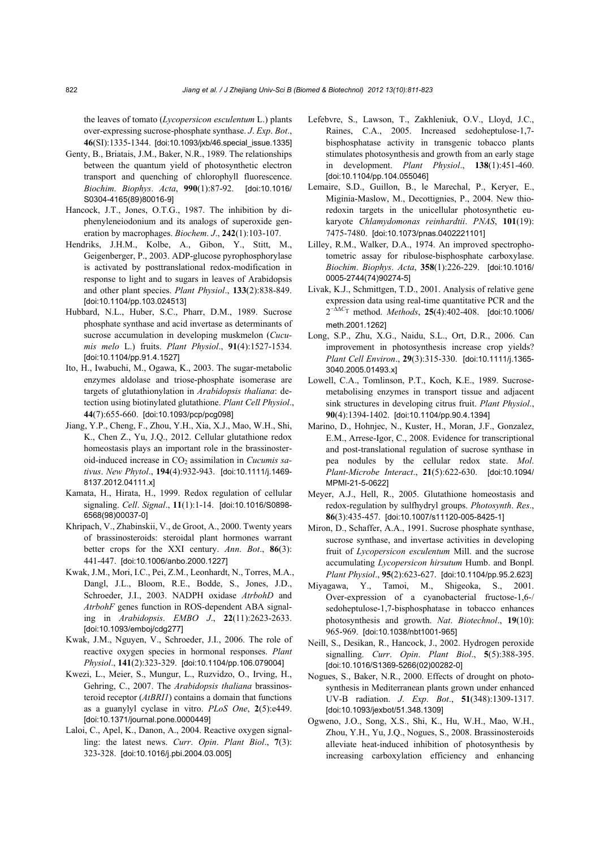the leaves of tomato (*Lycopersicon esculentum* L.) plants over-expressing sucrose-phosphate synthase. *J*. *Exp*. *Bot*., **46**(SI):1335-1344. [doi:10.1093/jxb/46.special\_issue.1335]

- Genty, B., Briatais, J.M., Baker, N.R., 1989. The relationships between the quantum yield of photosynthetic electron transport and quenching of chlorophyll fluorescence. *Biochim*. *Biophys*. *Acta*, **990**(1):87-92. [doi:10.1016/ S0304-4165(89)80016-9]
- Hancock, J.T., Jones, O.T.G., 1987. The inhibition by diphenyleneiodonium and its analogs of superoxide generation by macrophages. *Biochem*. *J*., **242**(1):103-107.
- Hendriks, J.H.M., Kolbe, A., Gibon, Y., Stitt, M., Geigenberger, P., 2003. ADP-glucose pyrophosphorylase is activated by posttranslational redox-modification in response to light and to sugars in leaves of Arabidopsis and other plant species. *Plant Physiol*., **133**(2):838-849. [doi:10.1104/pp.103.024513]
- Hubbard, N.L., Huber, S.C., Pharr, D.M., 1989. Sucrose phosphate synthase and acid invertase as determinants of sucrose accumulation in developing muskmelon (*Cucumis melo* L.) fruits. *Plant Physiol*., **91**(4):1527-1534. [doi:10.1104/pp.91.4.1527]
- Ito, H., Iwabuchi, M., Ogawa, K., 2003. The sugar-metabolic enzymes aldolase and triose-phosphate isomerase are targets of glutathionylation in *Arabidopsis thaliana*: detection using biotinylated glutathione. *Plant Cell Physiol*., **44**(7):655-660. [doi:10.1093/pcp/pcg098]
- Jiang, Y.P., Cheng, F., Zhou, Y.H., Xia, X.J., Mao, W.H., Shi, K., Chen Z., Yu, J.Q., 2012. Cellular glutathione redox homeostasis plays an important role in the brassinosteroid-induced increase in CO<sub>2</sub> assimilation in *Cucumis sativus*. *New Phytol*., **194**(4):932-943. [doi:10.1111/j.1469- 8137.2012.04111.x]
- Kamata, H., Hirata, H., 1999. Redox regulation of cellular signaling. *Cell*. *Signal*., **11**(1):1-14. [doi:10.1016/S0898- 6568(98)00037-0]
- Khripach, V., Zhabinskii, V., de Groot, A., 2000. Twenty years of brassinosteroids: steroidal plant hormones warrant better crops for the XXI century. *Ann*. *Bot*., **86**(3): 441-447. [doi:10.1006/anbo.2000.1227]
- Kwak, J.M., Mori, I.C., Pei, Z.M., Leonhardt, N., Torres, M.A., Dangl, J.L., Bloom, R.E., Bodde, S., Jones, J.D., Schroeder, J.I., 2003. NADPH oxidase *AtrbohD* and *AtrbohF* genes function in ROS-dependent ABA signaling in *Arabidopsis*. *EMBO J*., **22**(11):2623-2633. [doi:10.1093/emboj/cdg277]
- Kwak, J.M., Nguyen, V., Schroeder, J.I., 2006. The role of reactive oxygen species in hormonal responses. *Plant Physiol*., **141**(2):323-329. [doi:10.1104/pp.106.079004]
- Kwezi, L., Meier, S., Mungur, L., Ruzvidzo, O., Irving, H., Gehring, C., 2007. The *Arabidopsis thaliana* brassinosteroid receptor (*AtBRI1*) contains a domain that functions as a guanylyl cyclase in vitro. *PLoS One*, **2**(5):e449. [doi:10.1371/journal.pone.0000449]
- Laloi, C., Apel, K., Danon, A., 2004. Reactive oxygen signalling: the latest news. *Curr*. *Opin*. *Plant Biol*., **7**(3): 323-328. [doi:10.1016/j.pbi.2004.03.005]
- Lefebvre, S., Lawson, T., Zakhleniuk, O.V., Lloyd, J.C., Raines, C.A., 2005. Increased sedoheptulose-1,7 bisphosphatase activity in transgenic tobacco plants stimulates photosynthesis and growth from an early stage in development. *Plant Physiol*., **138**(1):451-460. [doi:10.1104/pp.104.055046]
- Lemaire, S.D., Guillon, B., le Marechal, P., Keryer, E., Miginia-Maslow, M., Decottignies, P., 2004. New thioredoxin targets in the unicellular photosynthetic eukaryote *Chlamydomonas reinhardtii*. *PNAS*, **101**(19): 7475-7480. [doi:10.1073/pnas.0402221101]
- Lilley, R.M., Walker, D.A., 1974. An improved spectrophotometric assay for ribulose-bisphosphate carboxylase. *Biochim*. *Biophys*. *Acta*, **358**(1):226-229. [doi:10.1016/ 0005-2744(74)90274-5]
- Livak, K.J., Schmittgen, T.D., 2001. Analysis of relative gene expression data using real-time quantitative PCR and the 2−∆∆*<sup>C</sup>*T method. *Methods*, **25**(4):402-408. [doi:10.1006/ meth.2001.1262]
- Long, S.P., Zhu, X.G., Naidu, S.L., Ort, D.R., 2006. Can improvement in photosynthesis increase crop yields? *Plant Cell Environ*., **29**(3):315-330. [doi:10.1111/j.1365- 3040.2005.01493.x]
- Lowell, C.A., Tomlinson, P.T., Koch, K.E., 1989. Sucrosemetabolising enzymes in transport tissue and adjacent sink structures in developing citrus fruit. *Plant Physiol*., **90**(4):1394-1402. [doi:10.1104/pp.90.4.1394]
- Marino, D., Hohnjec, N., Kuster, H., Moran, J.F., Gonzalez, E.M., Arrese-Igor, C., 2008. Evidence for transcriptional and post-translational regulation of sucrose synthase in pea nodules by the cellular redox state. *Mol*. *Plant-Microbe Interact*., **21**(5):622-630. [doi:10.1094/ MPMI-21-5-0622]
- Meyer, A.J., Hell, R., 2005. Glutathione homeostasis and redox-regulation by sulfhydryl groups. *Photosynth*. *Res*., **86**(3):435-457. [doi:10.1007/s11120-005-8425-1]
- Miron, D., Schaffer, A.A., 1991. Sucrose phosphate synthase, sucrose synthase, and invertase activities in developing fruit of *Lycopersicon esculentum* Mill. and the sucrose accumulating *Lycopersicon hirsutum* Humb. and Bonpl. *Plant Physiol*., **95**(2):623-627. [doi:10.1104/pp.95.2.623]
- Miyagawa, Y., Tamoi, M., Shigeoka, S., 2001. Over-expression of a cyanobacterial fructose-1,6-/ sedoheptulose-1,7-bisphosphatase in tobacco enhances photosynthesis and growth. *Nat*. *Biotechnol*., **19**(10): 965-969. [doi:10.1038/nbt1001-965]
- Neill, S., Desikan, R., Hancock, J., 2002. Hydrogen peroxide signalling. *Curr*. *Opin*. *Plant Biol*., **5**(5):388-395. [doi:10.1016/S1369-5266(02)00282-0]
- Nogues, S., Baker, N.R., 2000. Effects of drought on photosynthesis in Mediterranean plants grown under enhanced UV-B radiation. *J*. *Exp*. *Bot*., **51**(348):1309-1317. [doi:10.1093/jexbot/51.348.1309]
- Ogweno, J.O., Song, X.S., Shi, K., Hu, W.H., Mao, W.H., Zhou, Y.H., Yu, J.Q., Nogues, S., 2008. Brassinosteroids alleviate heat-induced inhibition of photosynthesis by increasing carboxylation efficiency and enhancing